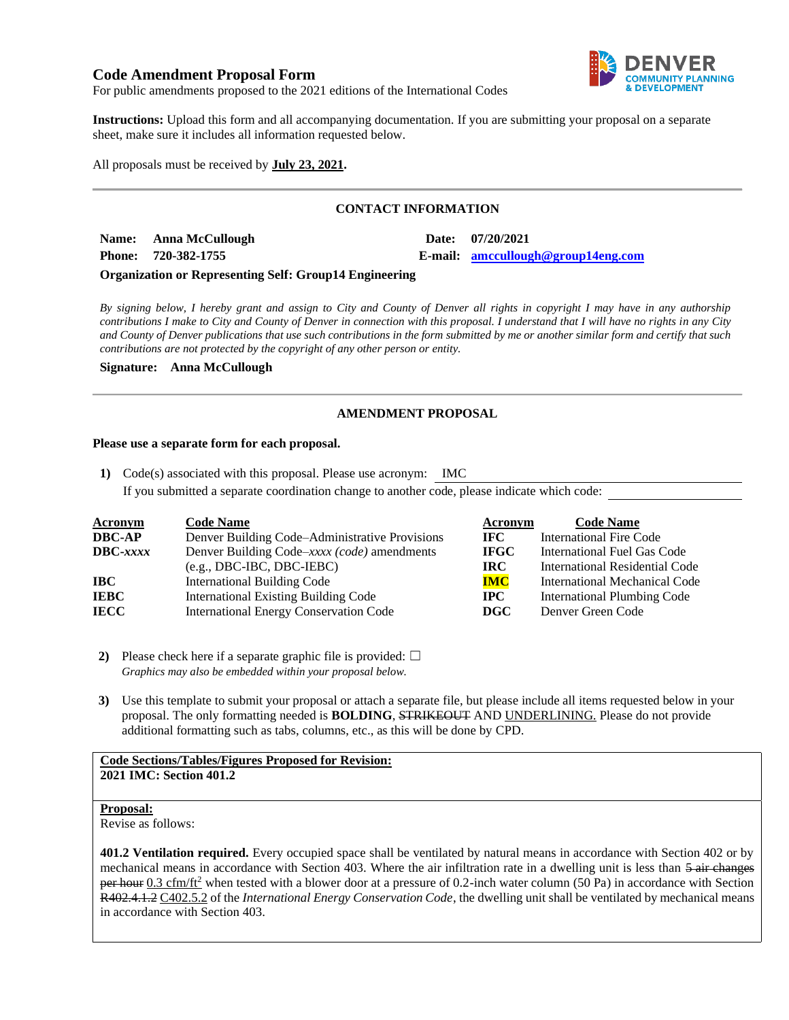# **Code Amendment Proposal Form**



For public amendments proposed to the 2021 editions of the International Codes

**Instructions:** Upload this form and all accompanying documentation. If you are submitting your proposal on a separate sheet, make sure it includes all information requested below.

All proposals must be received by **July 23, 2021.**

# **CONTACT INFORMATION**

**Name: Anna McCullough Date: 07/20/2021 Phone: 720-382-1755 E-mail: [amccullough@group14eng.com](mailto:amccullough@group14eng.com)**

### **Organization or Representing Self: Group14 Engineering**

*By signing below, I hereby grant and assign to City and County of Denver all rights in copyright I may have in any authorship contributions I make to City and County of Denver in connection with this proposal. I understand that I will have no rights in any City and County of Denver publications that use such contributions in the form submitted by me or another similar form and certify that such contributions are not protected by the copyright of any other person or entity.* 

**Signature: Anna McCullough**

## **AMENDMENT PROPOSAL**

### **Please use a separate form for each proposal.**

**1)** Code(s) associated with this proposal. Please use acronym: IMC If you submitted a separate coordination change to another code, please indicate which code:

| <b>Acronym</b>    | <b>Code Name</b>                               | Acronym     | <b>Code Name</b>                   |
|-------------------|------------------------------------------------|-------------|------------------------------------|
| <b>DBC-AP</b>     | Denver Building Code–Administrative Provisions | IFC -       | <b>International Fire Code</b>     |
| $\text{DBC}-xxxx$ | Denver Building Code–xxxx (code) amendments    | <b>IFGC</b> | International Fuel Gas Code        |
|                   | $(e.g., DBC-IBC, DBC-IEBC)$                    | IRC-        | International Residential Code     |
| IBC               | <b>International Building Code</b>             | <b>IMC</b>  | International Mechanical Code      |
| <b>IEBC</b>       | <b>International Existing Building Code</b>    | $\bf IPC$   | <b>International Plumbing Code</b> |
| <b>IECC</b>       | <b>International Energy Conservation Code</b>  | DGC         | Denver Green Code                  |

**2)** Please check here if a separate graphic file is provided:  $\Box$ *Graphics may also be embedded within your proposal below.*

**3)** Use this template to submit your proposal or attach a separate file, but please include all items requested below in your proposal. The only formatting needed is **BOLDING**, STRIKEOUT AND UNDERLINING. Please do not provide additional formatting such as tabs, columns, etc., as this will be done by CPD.

## **Code Sections/Tables/Figures Proposed for Revision: 2021 IMC: Section 401.2**

#### **Proposal:**

Revise as follows:

**401.2 Ventilation required.** Every occupied space shall be ventilated by natural means in accordance with Section 402 or by mechanical means in accordance with Section 403. Where the air infiltration rate in a dwelling unit is less than  $\frac{5 \text{ air changes}}{2}$ per hour  $0.3 \text{ cfm/ft}^2$  when tested with a blower door at a pressure of 0.2-inch water column (50 Pa) in accordance with Section R402.4.1.2 C402.5.2 of the *International Energy Conservation Code*, the dwelling unit shall be ventilated by mechanical means in accordance with Section 403.